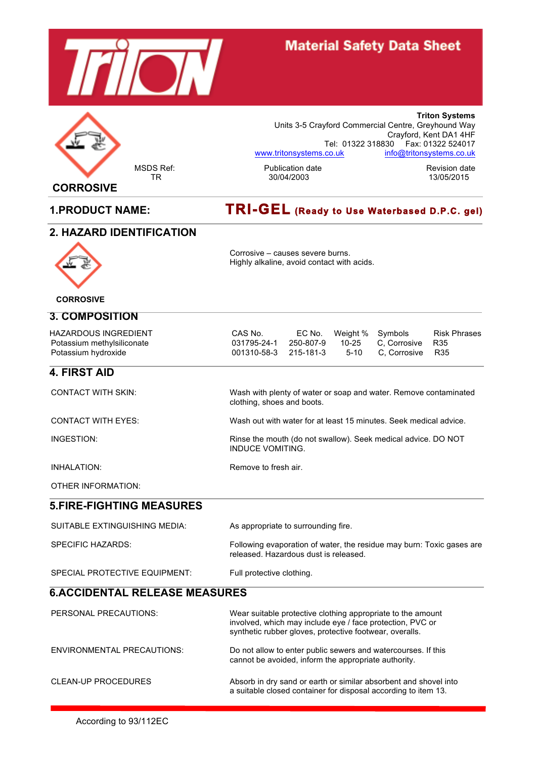

# **Material Safety Data Sheet**



**CORROSIVE**

#### MSDS Ref: The Revision date Revision date Revision date Revision date Revision date Revision date Revision date Revision date Revision date Revision date Revision date Revision date Revision date Revision date Revision dat Units 3-5 Crayford Commercial Centre, Greyhound Way Crayford, Kent DA1 4HF Tel: 01322 318830 Fax: 01322 524017 www.tritonsystems.co.uk info@tritonsystems.co.uk

Corrosive – causes severe burns. Highly alkaline, avoid contact with acids.

**Triton Systems**

# **1.PRODUCT NAME: TRI-GEL (Ready to Use Waterbased D.P.C. gel)**

#### **2. HAZARD IDENTIFICATION**



 **CORROSIVE**

#### **3. COMPOSITION**

| <b>HAZARDOUS INGREDIENT</b> | CAS No.               | EC No. Weight % Symbols |                                   | Risk Phrases |
|-----------------------------|-----------------------|-------------------------|-----------------------------------|--------------|
| Potassium methylsiliconate  | 031795-24-1           |                         | , 250-807-9 10-25 C.Corrosive R35 |              |
| Potassium hydroxide         | 001310-58-3 215-181-3 |                         | 5-10 C. Corrosive R35             |              |

**4. FIRST AID**

CONTACT WITH SKIN: Wash with plenty of water or soap and water. Remove contaminated clothing, shoes and boots.

CONTACT WITH EYES: Wash out with water for at least 15 minutes. Seek medical advice.

INDUCE VOMITING.

INGESTION: Rinse the mouth (do not swallow). Seek medical advice. DO NOT

INHALATION: Remove to fresh air.

OTHER INFORMATION:

#### **5.FIRE-FIGHTING MEASURES**

| SUITABLE EXTINGUISHING MEDIA: | As appropriate to surrounding fire.                                                                            |
|-------------------------------|----------------------------------------------------------------------------------------------------------------|
| SPECIFIC HAZARDS:             | Following evaporation of water, the residue may burn: Toxic gases are<br>released. Hazardous dust is released. |
| SPECIAL PROTECTIVE EQUIPMENT: | Full protective clothing.                                                                                      |

# **6.ACCIDENTAL RELEASE MEASURES**

| PERSONAL PRECAUTIONS:             | Wear suitable protective clothing appropriate to the amount<br>involved, which may include eye / face protection, PVC or<br>synthetic rubber gloves, protective footwear, overalls. |
|-----------------------------------|-------------------------------------------------------------------------------------------------------------------------------------------------------------------------------------|
| <b>ENVIRONMENTAL PRECAUTIONS:</b> | Do not allow to enter public sewers and watercourses. If this<br>cannot be avoided, inform the appropriate authority.                                                               |
| <b>CLEAN-UP PROCEDURES</b>        | Absorb in dry sand or earth or similar absorbent and shovel into<br>a suitable closed container for disposal according to item 13.                                                  |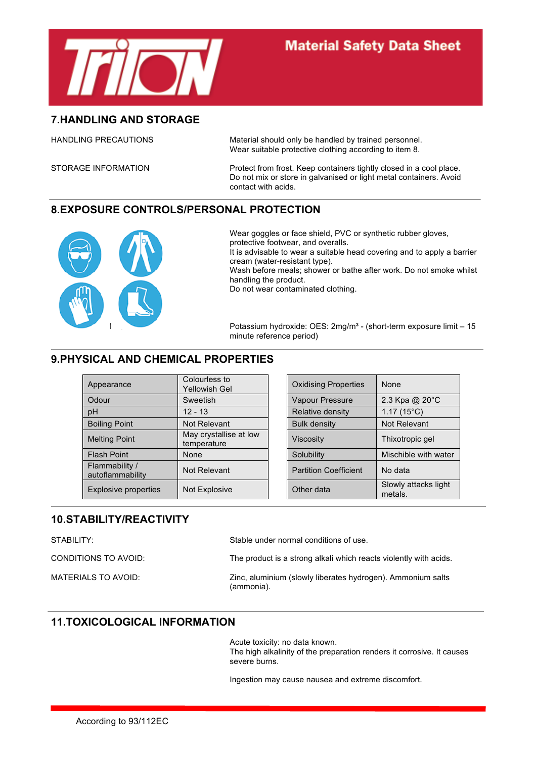

#### **7.HANDLING AND STORAGE**

HANDLING PRECAUTIONS Material should only be handled by trained personnel. Wear suitable protective clothing according to item 8.

STORAGE INFORMATION Protect from frost. Keep containers tightly closed in a cool place. Do not mix or store in galvanised or light metal containers. Avoid contact with acids.

## **8.EXPOSURE CONTROLS/PERSONAL PROTECTION**



Wear goggles or face shield, PVC or synthetic rubber gloves, protective footwear, and overalls. It is advisable to wear a suitable head covering and to apply a barrier cream (water-resistant type). Wash before meals; shower or bathe after work. Do not smoke whilst handling the product. Do not wear contaminated clothing.

Potassium hydroxide: OES: 2mg/m<sup>3</sup> - (short-term exposure limit – 15 minute reference period)

# **9.PHYSICAL AND CHEMICAL PROPERTIES**

| Appearance                         | Colourless to<br>Yellowish Gel        | <b>Oxidising Properties</b>  | None                            |
|------------------------------------|---------------------------------------|------------------------------|---------------------------------|
| Odour                              | Sweetish                              | Vapour Pressure              | 2.3 Kpa @ 20°C                  |
| pH                                 | $12 - 13$                             | Relative density             | 1.17 $(15^{\circ}C)$            |
| <b>Boiling Point</b>               | Not Relevant                          | <b>Bulk density</b>          | Not Relevant                    |
| <b>Melting Point</b>               | May crystallise at low<br>temperature | <b>Viscosity</b>             | Thixotropic gel                 |
| <b>Flash Point</b>                 | None                                  | Solubility                   | Mischible with water            |
| Flammability /<br>autoflammability | Not Relevant                          | <b>Partition Coefficient</b> | No data                         |
| Explosive properties               | Not Explosive                         | Other data                   | Slowly attacks light<br>metals. |

| Colourless to<br>Yellowish Gel        | <b>Oxidising Properties</b>  | None                            |
|---------------------------------------|------------------------------|---------------------------------|
| Sweetish                              | Vapour Pressure              | 2.3 Kpa @ 20°C                  |
| $12 - 13$                             | Relative density             | $1.17(15^{\circ}C)$             |
| Not Relevant                          | <b>Bulk density</b>          | Not Relevant                    |
| May crystallise at low<br>temperature | <b>Viscosity</b>             | Thixotropic gel                 |
| None                                  | Solubility                   | Mischible with water            |
| Not Relevant                          | <b>Partition Coefficient</b> | No data                         |
| Not Explosive                         | Other data                   | Slowly attacks light<br>metals. |

# **10.STABILITY/REACTIVITY**

| STABILITY:           | Stable under normal conditions of use.                                    |
|----------------------|---------------------------------------------------------------------------|
| CONDITIONS TO AVOID: | The product is a strong alkali which reacts violently with acids.         |
| MATERIALS TO AVOID:  | Zinc, aluminium (slowly liberates hydrogen). Ammonium salts<br>(ammonia). |

## **11.TOXICOLOGICAL INFORMATION**

Acute toxicity: no data known. The high alkalinity of the preparation renders it corrosive. It causes severe burns.

Ingestion may cause nausea and extreme discomfort.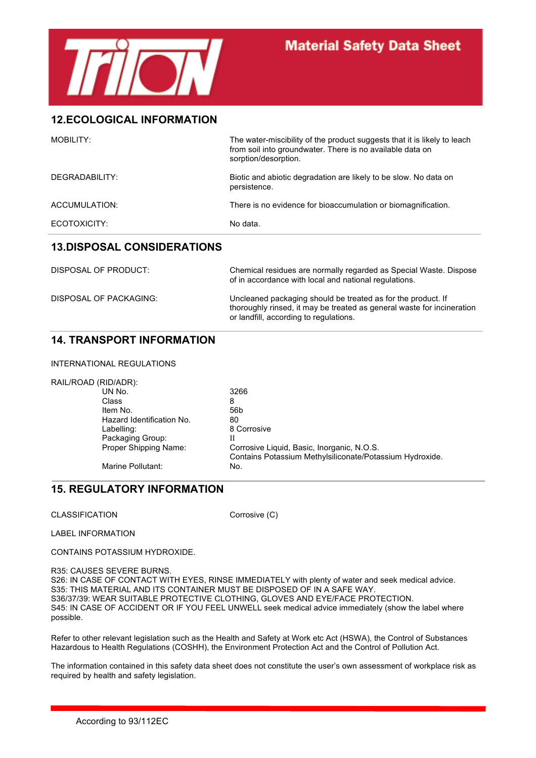

#### **12.ECOLOGICAL INFORMATION**

| MOBILITY:      | The water-miscibility of the product suggests that it is likely to leach<br>from soil into groundwater. There is no available data on<br>sorption/desorption. |
|----------------|---------------------------------------------------------------------------------------------------------------------------------------------------------------|
| DEGRADABILITY: | Biotic and abiotic degradation are likely to be slow. No data on<br>persistence.                                                                              |
| ACCUMULATION:  | There is no evidence for bioaccumulation or biomagnification.                                                                                                 |
| ECOTOXICITY:   | No data.                                                                                                                                                      |
|                |                                                                                                                                                               |

## **13.DISPOSAL CONSIDERATIONS**

| DISPOSAL OF PRODUCT:   | Chemical residues are normally regarded as Special Waste. Dispose<br>of in accordance with local and national regulations.                                                       |
|------------------------|----------------------------------------------------------------------------------------------------------------------------------------------------------------------------------|
| DISPOSAL OF PACKAGING: | Uncleaned packaging should be treated as for the product. If<br>thoroughly rinsed, it may be treated as general waste for incineration<br>or landfill, according to regulations. |

## **14. TRANSPORT INFORMATION**

INTERNATIONAL REGULATIONS

| RAIL/ROAD (RID/ADR): |                           |                                                          |
|----------------------|---------------------------|----------------------------------------------------------|
|                      | UN No.                    | 3266                                                     |
|                      | Class                     | 8                                                        |
|                      | Item No.                  | 56b                                                      |
|                      | Hazard Identification No. | 80                                                       |
|                      | Labelling:                | 8 Corrosive                                              |
|                      | Packaging Group:          | Н                                                        |
|                      | Proper Shipping Name:     | Corrosive Liquid, Basic, Inorganic, N.O.S.               |
|                      |                           | Contains Potassium Methylsiliconate/Potassium Hydroxide. |
|                      | Marine Pollutant:         | No.                                                      |

## **15. REGULATORY INFORMATION**

CLASSIFICATION Corrosive (C)

LABEL INFORMATION

CONTAINS POTASSIUM HYDROXIDE.

R35: CAUSES SEVERE BURNS. S26: IN CASE OF CONTACT WITH EYES, RINSE IMMEDIATELY with plenty of water and seek medical advice. S35: THIS MATERIAL AND ITS CONTAINER MUST BE DISPOSED OF IN A SAFE WAY. S36/37/39: WEAR SUITABLE PROTECTIVE CLOTHING, GLOVES AND EYE/FACE PROTECTION. S45: IN CASE OF ACCIDENT OR IF YOU FEEL UNWELL seek medical advice immediately (show the label where possible.

Refer to other relevant legislation such as the Health and Safety at Work etc Act (HSWA), the Control of Substances Hazardous to Health Regulations (COSHH), the Environment Protection Act and the Control of Pollution Act.

The information contained in this safety data sheet does not constitute the user's own assessment of workplace risk as required by health and safety legislation.